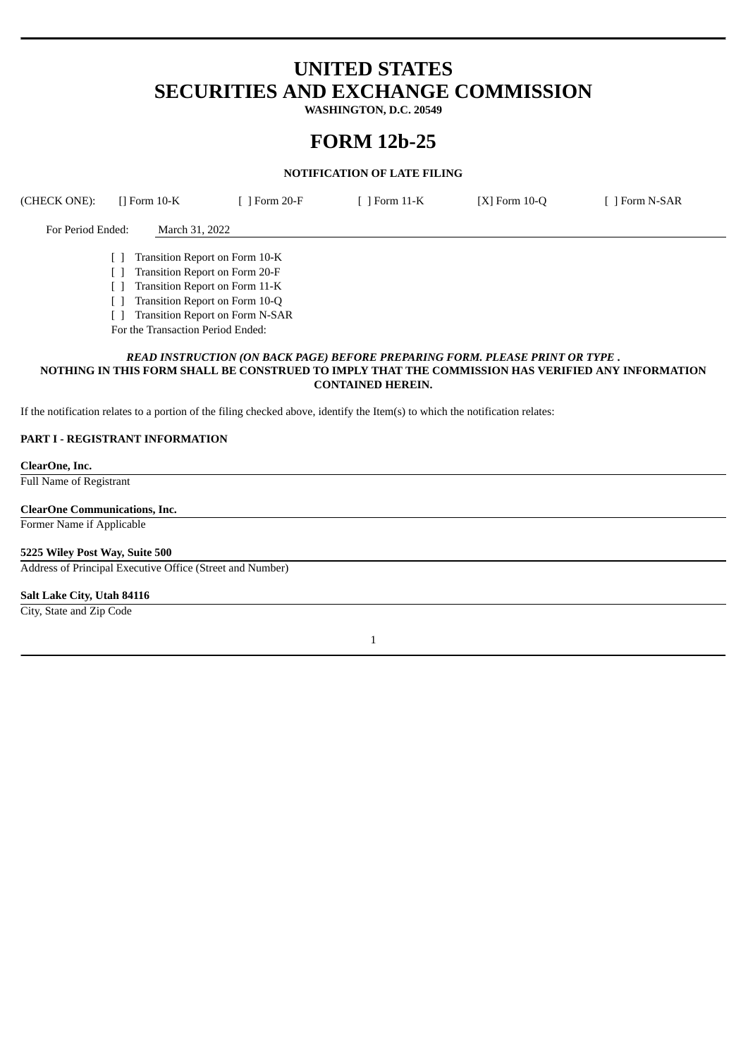# **UNITED STATES SECURITIES AND EXCHANGE COMMISSION**

**WASHINGTON, D.C. 20549**

## **FORM 12b-25**

**NOTIFICATION OF LATE FILING**

| (CHECK ONE):                                                                                                                  | $[]$ Form 10-K                                                                                                                                                                            | $[$ ] Form 20-F                 | $[$ ] Form 11-K          | $[X]$ Form 10-Q                                                              | [ ] Form N-SAR                                                                                    |  |
|-------------------------------------------------------------------------------------------------------------------------------|-------------------------------------------------------------------------------------------------------------------------------------------------------------------------------------------|---------------------------------|--------------------------|------------------------------------------------------------------------------|---------------------------------------------------------------------------------------------------|--|
| For Period Ended:                                                                                                             | March 31, 2022                                                                                                                                                                            |                                 |                          |                                                                              |                                                                                                   |  |
|                                                                                                                               | Transition Report on Form 10-K<br>Transition Report on Form 20-F<br>Transition Report on Form 11-K<br>Transition Report on Form 10-Q<br>$\Box$<br>Ιl<br>For the Transaction Period Ended: | Transition Report on Form N-SAR | <b>CONTAINED HEREIN.</b> | READ INSTRUCTION (ON BACK PAGE) BEFORE PREPARING FORM. PLEASE PRINT OR TYPE. | NOTHING IN THIS FORM SHALL BE CONSTRUED TO IMPLY THAT THE COMMISSION HAS VERIFIED ANY INFORMATION |  |
| If the notification relates to a portion of the filing checked above, identify the Item(s) to which the notification relates: |                                                                                                                                                                                           |                                 |                          |                                                                              |                                                                                                   |  |
| PART I - REGISTRANT INFORMATION                                                                                               |                                                                                                                                                                                           |                                 |                          |                                                                              |                                                                                                   |  |
| ClearOne, Inc.                                                                                                                |                                                                                                                                                                                           |                                 |                          |                                                                              |                                                                                                   |  |
| Full Name of Registrant                                                                                                       |                                                                                                                                                                                           |                                 |                          |                                                                              |                                                                                                   |  |
| <b>ClearOne Communications, Inc.</b>                                                                                          |                                                                                                                                                                                           |                                 |                          |                                                                              |                                                                                                   |  |
| Former Name if Applicable                                                                                                     |                                                                                                                                                                                           |                                 |                          |                                                                              |                                                                                                   |  |
| 5225 Wiley Post Way, Suite 500                                                                                                |                                                                                                                                                                                           |                                 |                          |                                                                              |                                                                                                   |  |
|                                                                                                                               | Address of Principal Executive Office (Street and Number)                                                                                                                                 |                                 |                          |                                                                              |                                                                                                   |  |
| Salt Lake City, Utah 84116                                                                                                    |                                                                                                                                                                                           |                                 |                          |                                                                              |                                                                                                   |  |
| City, State and Zip Code                                                                                                      |                                                                                                                                                                                           |                                 |                          |                                                                              |                                                                                                   |  |
|                                                                                                                               |                                                                                                                                                                                           |                                 | 1                        |                                                                              |                                                                                                   |  |
|                                                                                                                               |                                                                                                                                                                                           |                                 |                          |                                                                              |                                                                                                   |  |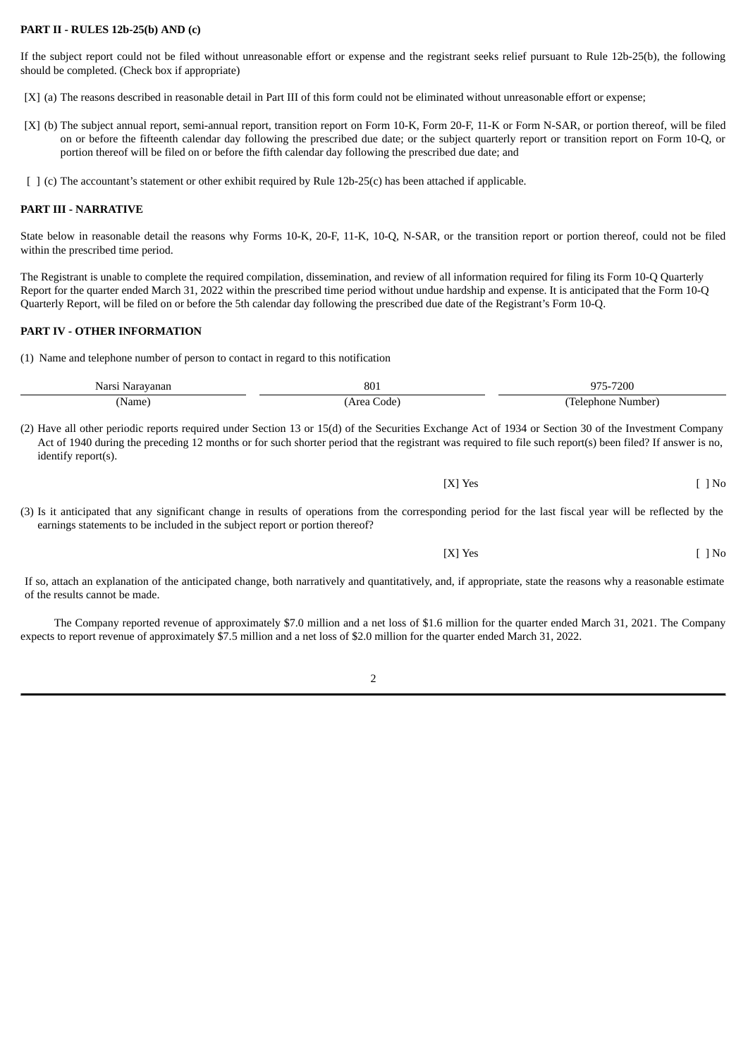#### **PART II - RULES 12b-25(b) AND (c)**

If the subject report could not be filed without unreasonable effort or expense and the registrant seeks relief pursuant to Rule 12b-25(b), the following should be completed. (Check box if appropriate)

- [X] (a) The reasons described in reasonable detail in Part III of this form could not be eliminated without unreasonable effort or expense;
- [X] (b) The subject annual report, semi-annual report, transition report on Form 10-K, Form 20-F, 11-K or Form N-SAR, or portion thereof, will be filed on or before the fifteenth calendar day following the prescribed due date; or the subject quarterly report or transition report on Form 10-Q, or portion thereof will be filed on or before the fifth calendar day following the prescribed due date; and
- [ ] (c) The accountant's statement or other exhibit required by Rule 12b-25(c) has been attached if applicable.

#### **PART III - NARRATIVE**

State below in reasonable detail the reasons why Forms 10-K, 20-F, 11-K, 10-Q, N-SAR, or the transition report or portion thereof, could not be filed within the prescribed time period.

The Registrant is unable to complete the required compilation, dissemination, and review of all information required for filing its Form 10-Q Quarterly Report for the quarter ended March 31, 2022 within the prescribed time period without undue hardship and expense. It is anticipated that the Form 10-Q Quarterly Report, will be filed on or before the 5th calendar day following the prescribed due date of the Registrant's Form 10-Q.

#### **PART IV - OTHER INFORMATION**

(1) Name and telephone number of person to contact in regard to this notification

| - -<br>'Narr<br>avanan | 801           | -7200             |
|------------------------|---------------|-------------------|
| "Name <sub>1</sub>     | $\sim$<br>ode | Number<br>-nhone- |

(2) Have all other periodic reports required under Section 13 or 15(d) of the Securities Exchange Act of 1934 or Section 30 of the Investment Company Act of 1940 during the preceding 12 months or for such shorter period that the registrant was required to file such report(s) been filed? If answer is no, identify report(s).

(3) Is it anticipated that any significant change in results of operations from the corresponding period for the last fiscal year will be reflected by the earnings statements to be included in the subject report or portion thereof?

[X] Yes [ ] No

 $[X]$  Yes  $[ ]$  No

If so, attach an explanation of the anticipated change, both narratively and quantitatively, and, if appropriate, state the reasons why a reasonable estimate of the results cannot be made.

The Company reported revenue of approximately \$7.0 million and a net loss of \$1.6 million for the quarter ended March 31, 2021. The Company expects to report revenue of approximately \$7.5 million and a net loss of \$2.0 million for the quarter ended March 31, 2022.

2